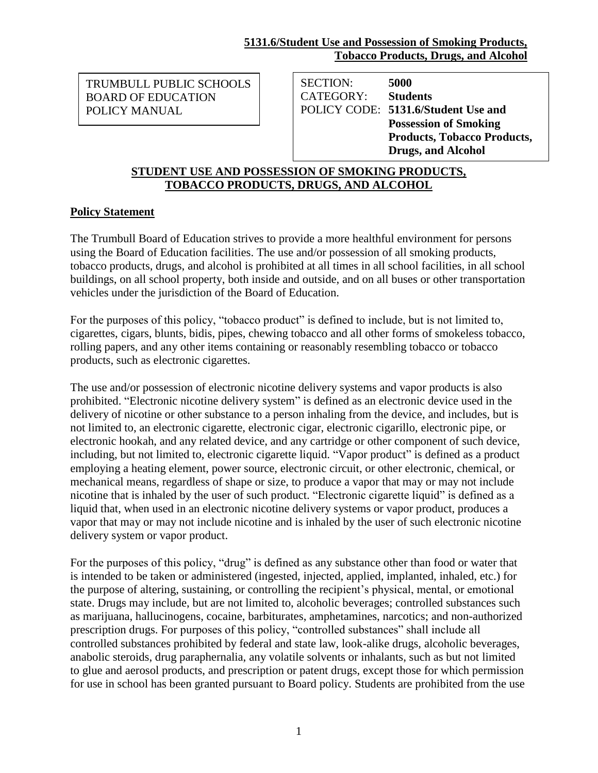BOARD OF EDUCATION TRUMBULL PUBLIC SCHOOLS POLICY MANUAL

SECTION: **5000** CATEGORY: **Students** POLICY CODE: **5131.6/Student Use and Possession of Smoking Products, Tobacco Products, Drugs, and Alcohol**

### **STUDENT USE AND POSSESSION OF SMOKING PRODUCTS, TOBACCO PRODUCTS, DRUGS, AND ALCOHOL**

### **Policy Statement**

The Trumbull Board of Education strives to provide a more healthful environment for persons using the Board of Education facilities. The use and/or possession of all smoking products, tobacco products, drugs, and alcohol is prohibited at all times in all school facilities, in all school buildings, on all school property, both inside and outside, and on all buses or other transportation vehicles under the jurisdiction of the Board of Education.

For the purposes of this policy, "tobacco product" is defined to include, but is not limited to, cigarettes, cigars, blunts, bidis, pipes, chewing tobacco and all other forms of smokeless tobacco, rolling papers, and any other items containing or reasonably resembling tobacco or tobacco products, such as electronic cigarettes.

The use and/or possession of electronic nicotine delivery systems and vapor products is also prohibited. "Electronic nicotine delivery system" is defined as an electronic device used in the delivery of nicotine or other substance to a person inhaling from the device, and includes, but is not limited to, an electronic cigarette, electronic cigar, electronic cigarillo, electronic pipe, or electronic hookah, and any related device, and any cartridge or other component of such device, including, but not limited to, electronic cigarette liquid. "Vapor product" is defined as a product employing a heating element, power source, electronic circuit, or other electronic, chemical, or mechanical means, regardless of shape or size, to produce a vapor that may or may not include nicotine that is inhaled by the user of such product. "Electronic cigarette liquid" is defined as a liquid that, when used in an electronic nicotine delivery systems or vapor product, produces a vapor that may or may not include nicotine and is inhaled by the user of such electronic nicotine delivery system or vapor product.

For the purposes of this policy, "drug" is defined as any substance other than food or water that is intended to be taken or administered (ingested, injected, applied, implanted, inhaled, etc.) for the purpose of altering, sustaining, or controlling the recipient's physical, mental, or emotional state. Drugs may include, but are not limited to, alcoholic beverages; controlled substances such as marijuana, hallucinogens, cocaine, barbiturates, amphetamines, narcotics; and non-authorized prescription drugs. For purposes of this policy, "controlled substances" shall include all controlled substances prohibited by federal and state law, look-alike drugs, alcoholic beverages, anabolic steroids, drug paraphernalia, any volatile solvents or inhalants, such as but not limited to glue and aerosol products, and prescription or patent drugs, except those for which permission for use in school has been granted pursuant to Board policy. Students are prohibited from the use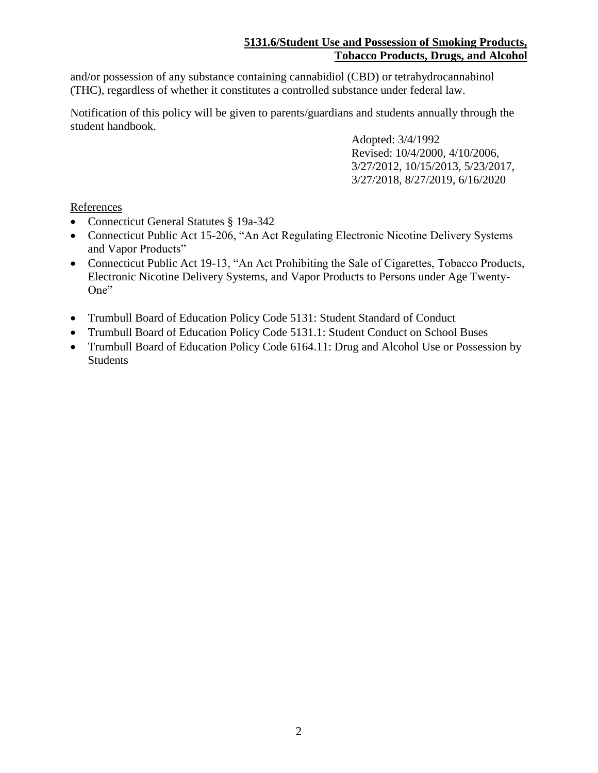## **5131.6/Student Use and Possession of Smoking Products, Tobacco Products, Drugs, and Alcohol**

and/or possession of any substance containing cannabidiol (CBD) or tetrahydrocannabinol (THC), regardless of whether it constitutes a controlled substance under federal law.

Notification of this policy will be given to parents/guardians and students annually through the student handbook.

> Adopted: 3/4/1992 Revised: 10/4/2000, 4/10/2006, 3/27/2012, 10/15/2013, 5/23/2017, 3/27/2018, 8/27/2019, 6/16/2020

# **References**

- Connecticut General Statutes § 19a-342
- Connecticut Public Act 15-206, "An Act Regulating Electronic Nicotine Delivery Systems and Vapor Products"
- Connecticut Public Act 19-13, "An Act Prohibiting the Sale of Cigarettes, Tobacco Products, Electronic Nicotine Delivery Systems, and Vapor Products to Persons under Age Twenty-One"
- Trumbull Board of Education Policy Code 5131: Student Standard of Conduct
- Trumbull Board of Education Policy Code 5131.1: Student Conduct on School Buses
- Trumbull Board of Education Policy Code 6164.11: Drug and Alcohol Use or Possession by Students